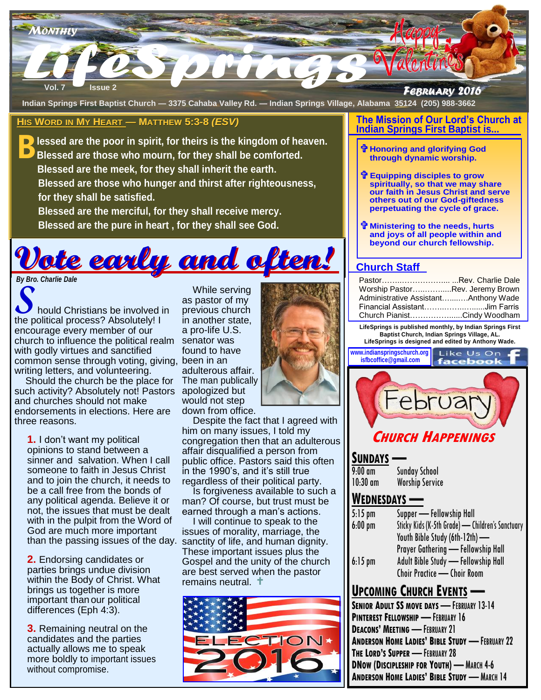

**Indian Springs First Baptist Church — 3375 Cahaba Valley Rd. — Indian Springs Village, Alabama 35124 (205) 988-3662**

#### **HIS WORD IN MY HEART — MATTHEW 5:3-8** *(ESV)*

**B** lessed are the poor in spirit, for theirs is the kingdom of heaven.<br>B Blessed are those who mourn, for they shall be comforted. **Blessed are those who mourn, for they shall be comforted. Blessed are the meek, for they shall inherit the earth. Blessed are those who hunger and thirst after righteousness, for they shall be satisfied.**

 **Blessed are the merciful, for they shall receive mercy. Blessed are the pure in heart , for they shall see God.**



common sense through voting, giving, been in an **S**hould Christians be involved in the political process? Absolutely! I encourage every member of our church to influence the political realm with godly virtues and sanctified writing letters, and volunteering.

such activity? Absolutely not! Pastors apologized but Should the church be the place for and churches should not make endorsements in elections. Here are three reasons.

**1.** I don't want my political opinions to stand between a sinner and salvation. When I call someone to faith in Jesus Christ and to join the church, it needs to be a call free from the bonds of any political agenda. Believe it or not, the issues that must be dealt with in the pulpit from the Word of God are much more important

**2.** Endorsing candidates or parties brings undue division within the Body of Christ. What brings us together is more important than our political differences (Eph 4:3).

**3.** Remaining neutral on the candidates and the parties actually allows me to speak more boldly to important issues without compromise.

olved in previous<br>
ttely! I in anothe<br>
our a pro-life<br>
cal realm senator \<br>
fied found to<br>
ng, giving, been in a<br>
ing. adulterol<br>
place for The man While serving as pastor of my previous church in another state, a pro-life U.S. senator was found to have adulterous affair. The man publically would not step down from office.



 Despite the fact that I agreed with him on many issues, I told my congregation then that an adulterous affair disqualified a person from public office. Pastors said this often in the 1990's, and it's still true regardless of their political party.

 Is forgiveness available to such a man? Of course, but trust must be earned through a man's actions.

 I will continue to speak to the issues of morality, marriage, the than the passing issues of the day. sanctity of life, and human dignity. These important issues plus the Gospel and the unity of the church are best served when the pastor remains neutral. t



#### **The Mission of Our Lord's Church at Indian Springs First Baptist is...**

- **Honoring and glorifying God through dynamic worship.**
- **Equipping disciples to grow spiritually, so that we may share our faith in Jesus Christ and serve others out of our God-giftedness perpetuating the cycle of grace.**
- **Ministering to the needs, hurts and joys of all people within and beyond our church fellowship.**

## **Church Staff**

| PastorRev. Charlie Dale              |  |
|--------------------------------------|--|
| Worship PastorRev. Jeremy Brown      |  |
| Administrative AssistantAnthony Wade |  |
| Financial AssistantJim Farris        |  |
| Church PianistCindy Woodham          |  |

**LifeSprings is published monthly, by Indian Springs First Baptist Church, Indian Springs Village, AL. LifeSprings is designed and edited by Anthony Wade.** 

**www.indianspringschurch.org** Like Us On **isfbcoffice@gmail.com**



# **SUNDAYS —**

| 9:00 am  | <b>Sunday School</b>   |
|----------|------------------------|
| 10:30 am | <b>Worship Service</b> |

# **WEDNESDAYS —**

| $5:15$ pm | Supper - Fellowship Hall                         |
|-----------|--------------------------------------------------|
| $6:00$ pm | Sticky Kids (K-5th Grade) - Children's Sanctuary |
|           | Youth Bible Study (6th-12th) -                   |
|           | Prayer Gathering - Fellowship Hall               |
| $6:15$ pm | Adult Bible Study - Fellowship Hall              |
|           | Choir Practice — Choir Room                      |

# **UPCOMING CHURCH EVENTS —**

**SENIOR ADULT SS MOVE DAYS** — FEBRUARY 13-14 **PINTEREST FELLOWSHIP** — FEBRUARY 16 **DEACONS' MEETING** — FEBRUARY 21 **ANDERSON HOME LADIES' BIBLE STUDY** — FEBRUARY 22 **THE LORD'S SUPPER** — FEBRUARY 28 **DNOW (DISCIPLESHIP FOR YOUTH)** — MARCH 4-6 **ANDERSON HOME LADIES' BIBLE STUDY** — MARCH 14